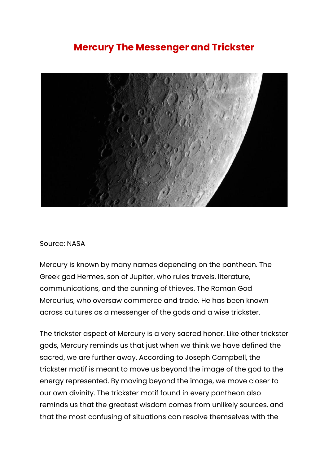## **Mercury The Messenger and Trickster**



## Source: NASA

Mercury is known by many names depending on the pantheon. The Greek god Hermes, son of Jupiter, who rules travels, literature, communications, and the cunning of thieves. The Roman God Mercurius, who oversaw commerce and trade. He has been known across cultures as a messenger of the gods and a wise trickster.

The trickster aspect of Mercury is a very sacred honor. Like other trickster gods, Mercury reminds us that just when we think we have defined the sacred, we are further away. According to Joseph Campbell, the trickster motif is meant to move us beyond the image of the god to the energy represented. By moving beyond the image, we move closer to our own divinity. The trickster motif found in every pantheon also reminds us that the greatest wisdom comes from unlikely sources, and that the most confusing of situations can resolve themselves with the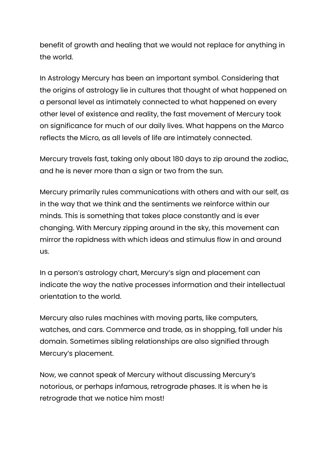benefit of growth and healing that we would not replace for anything in the world.

In Astrology Mercury has been an important symbol. Considering that the origins of astrology lie in cultures that thought of what happened on a personal level as intimately connected to what happened on every other level of existence and reality, the fast movement of Mercury took on significance for much of our daily lives. What happens on the Marco reflects the Micro, as all levels of life are intimately connected.

Mercury travels fast, taking only about 180 days to zip around the zodiac, and he is never more than a sign or two from the sun.

Mercury primarily rules communications with others and with our self, as in the way that we think and the sentiments we reinforce within our minds. This is something that takes place constantly and is ever changing. With Mercury zipping around in the sky, this movement can mirror the rapidness with which ideas and stimulus flow in and around us.

In a person's astrology chart, Mercury's sign and placement can indicate the way the native processes information and their intellectual orientation to the world.

Mercury also rules machines with moving parts, like computers, watches, and cars. Commerce and trade, as in shopping, fall under his domain. Sometimes sibling relationships are also signified through Mercury's placement.

Now, we cannot speak of Mercury without discussing Mercury's notorious, or perhaps infamous, retrograde phases. It is when he is retrograde that we notice him most!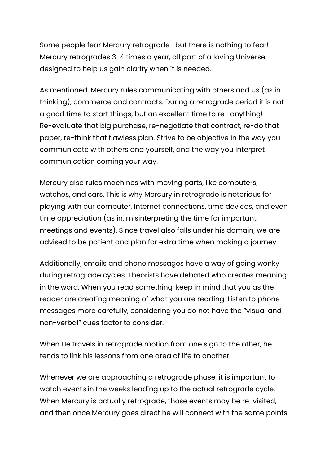Some people fear Mercury retrograde- but there is nothing to fear! Mercury retrogrades 3-4 times a year, all part of a loving Universe designed to help us gain clarity when it is needed.

As mentioned, Mercury rules communicating with others and us (as in thinking), commerce and contracts. During a retrograde period it is not a good time to start things, but an excellent time to re- anything! Re-evaluate that big purchase, re-negotiate that contract, re-do that paper, re-think that flawless plan. Strive to be objective in the way you communicate with others and yourself, and the way you interpret communication coming your way.

Mercury also rules machines with moving parts, like computers, watches, and cars. This is why Mercury in retrograde is notorious for playing with our computer, Internet connections, time devices, and even time appreciation (as in, misinterpreting the time for important meetings and events). Since travel also falls under his domain, we are advised to be patient and plan for extra time when making a journey.

Additionally, emails and phone messages have a way of going wonky during retrograde cycles. Theorists have debated who creates meaning in the word. When you read something, keep in mind that you as the reader are creating meaning of what you are reading. Listen to phone messages more carefully, considering you do not have the "visual and non-verbal" cues factor to consider.

When He travels in retrograde motion from one sign to the other, he tends to link his lessons from one area of life to another.

Whenever we are approaching a retrograde phase, it is important to watch events in the weeks leading up to the actual retrograde cycle. When Mercury is actually retrograde, those events may be re-visited, and then once Mercury goes direct he will connect with the same points